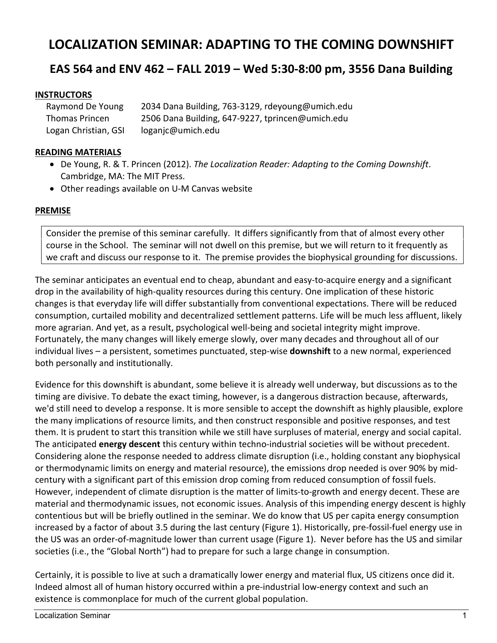# **LOCALIZATION SEMINAR: ADAPTING TO THE COMING DOWNSHIFT**

# **EAS 564 and ENV 462 – FALL 2019 – Wed 5:30-8:00 pm, 3556 Dana Building**

## **INSTRUCTORS**

| Raymond De Young      | 2034 Dana Building, 763-3129, rdeyoung@umich.edu |
|-----------------------|--------------------------------------------------|
| <b>Thomas Princen</b> | 2506 Dana Building, 647-9227, tprincen@umich.edu |
| Logan Christian, GSI  | loganjc@umich.edu                                |

## **READING MATERIALS**

- De Young, R. & T. Princen (2012). *The Localization Reader: Adapting to the Coming Downshift*. Cambridge, MA: The MIT Press.
- Other readings available on U-M Canvas website

## **PREMISE**

Consider the premise of this seminar carefully. It differs significantly from that of almost every other course in the School. The seminar will not dwell on this premise, but we will return to it frequently as we craft and discuss our response to it. The premise provides the biophysical grounding for discussions.

The seminar anticipates an eventual end to cheap, abundant and easy-to-acquire energy and a significant drop in the availability of high-quality resources during this century. One implication of these historic changes is that everyday life will differ substantially from conventional expectations. There will be reduced consumption, curtailed mobility and decentralized settlement patterns. Life will be much less affluent, likely more agrarian. And yet, as a result, psychological well-being and societal integrity might improve. Fortunately, the many changes will likely emerge slowly, over many decades and throughout all of our individual lives – a persistent, sometimes punctuated, step-wise **downshift** to a new normal, experienced both personally and institutionally.

Evidence for this downshift is abundant, some believe it is already well underway, but discussions as to the timing are divisive. To debate the exact timing, however, is a dangerous distraction because, afterwards, we'd still need to develop a response. It is more sensible to accept the downshift as highly plausible, explore the many implications of resource limits, and then construct responsible and positive responses, and test them. It is prudent to start this transition while we still have surpluses of material, energy and social capital. The anticipated **energy descent** this century within techno-industrial societies will be without precedent. Considering alone the response needed to address climate disruption (i.e., holding constant any biophysical or thermodynamic limits on energy and material resource), the emissions drop needed is over 90% by midcentury with a significant part of this emission drop coming from reduced consumption of fossil fuels. However, independent of climate disruption is the matter of limits-to-growth and energy decent. These are material and thermodynamic issues, not economic issues. Analysis of this impending energy descent is highly contentious but will be briefly outlined in the seminar. We do know that US per capita energy consumption increased by a factor of about 3.5 during the last century (Figure 1). Historically, pre-fossil-fuel energy use in the US was an order-of-magnitude lower than current usage (Figure 1). Never before has the US and similar societies (i.e., the "Global North") had to prepare for such a large change in consumption.

Certainly, it is possible to live at such a dramatically lower energy and material flux, US citizens once did it. Indeed almost all of human history occurred within a pre-industrial low-energy context and such an existence is commonplace for much of the current global population.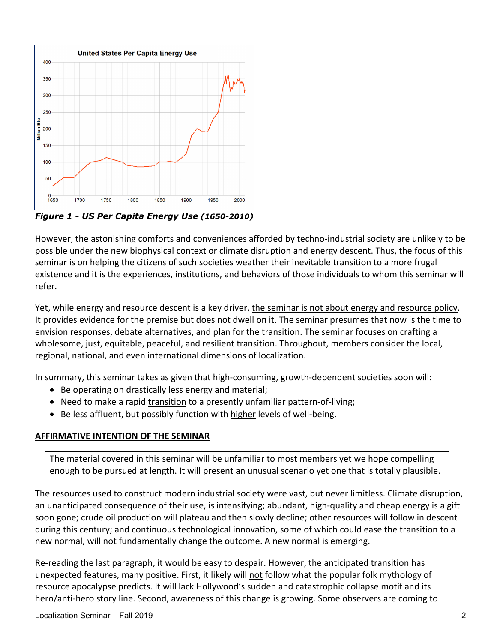

*Figure 1 - US Per Capita Energy Use (1650-2010)*

However, the astonishing comforts and conveniences afforded by techno-industrial society are unlikely to be possible under the new biophysical context or climate disruption and energy descent. Thus, the focus of this seminar is on helping the citizens of such societies weather their inevitable transition to a more frugal existence and it is the experiences, institutions, and behaviors of those individuals to whom this seminar will refer.

Yet, while energy and resource descent is a key driver, the seminar is not about energy and resource policy. It provides evidence for the premise but does not dwell on it. The seminar presumes that now is the time to envision responses, debate alternatives, and plan for the transition. The seminar focuses on crafting a wholesome, just, equitable, peaceful, and resilient transition. Throughout, members consider the local, regional, national, and even international dimensions of localization.

In summary, this seminar takes as given that high-consuming, growth-dependent societies soon will:

- Be operating on drastically less energy and material;
- Need to make a rapid transition to a presently unfamiliar pattern-of-living;
- Be less affluent, but possibly function with higher levels of well-being.

# **AFFIRMATIVE INTENTION OF THE SEMINAR**

The material covered in this seminar will be unfamiliar to most members yet we hope compelling enough to be pursued at length. It will present an unusual scenario yet one that is totally plausible.

The resources used to construct modern industrial society were vast, but never limitless. Climate disruption, an unanticipated consequence of their use, is intensifying; abundant, high-quality and cheap energy is a gift soon gone; crude oil production will plateau and then slowly decline; other resources will follow in descent during this century; and continuous technological innovation, some of which could ease the transition to a new normal, will not fundamentally change the outcome. A new normal is emerging.

Re-reading the last paragraph, it would be easy to despair. However, the anticipated transition has unexpected features, many positive. First, it likely will not follow what the popular folk mythology of resource apocalypse predicts. It will lack Hollywood's sudden and catastrophic collapse motif and its hero/anti-hero story line. Second, awareness of this change is growing. Some observers are coming to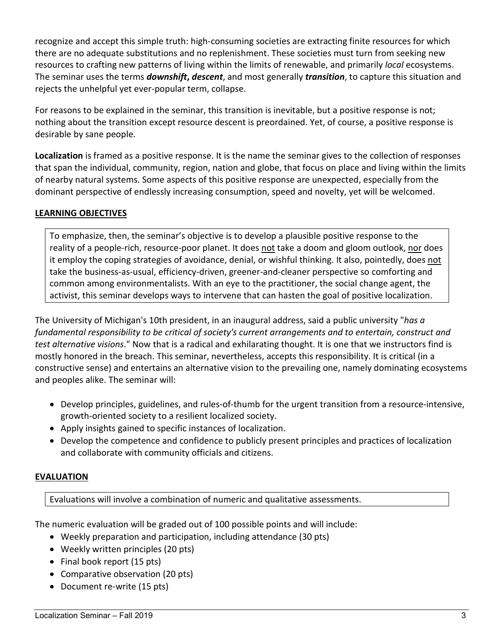recognize and accept this simple truth: high-consuming societies are extracting finite resources for which there are no adequate substitutions and no replenishment. These societies must turn from seeking new resources to crafting new patterns of living within the limits of renewable, and primarily *local* ecosystems. The seminar uses the terms *downshift***,** *descent*, and most generally *transition*, to capture this situation and rejects the unhelpful yet ever-popular term, collapse.

For reasons to be explained in the seminar, this transition is inevitable, but a positive response is not; nothing about the transition except resource descent is preordained. Yet, of course, a positive response is desirable by sane people.

**Localization** is framed as a positive response. It is the name the seminar gives to the collection of responses that span the individual, community, region, nation and globe, that focus on place and living within the limits of nearby natural systems. Some aspects of this positive response are unexpected, especially from the dominant perspective of endlessly increasing consumption, speed and novelty, yet will be welcomed.

# **LEARNING OBJECTIVES**

To emphasize, then, the seminar's objective is to develop a plausible positive response to the reality of a people-rich, resource-poor planet. It does not take a doom and gloom outlook, nor does it employ the coping strategies of avoidance, denial, or wishful thinking. It also, pointedly, does not take the business-as-usual, efficiency-driven, greener-and-cleaner perspective so comforting and common among environmentalists. With an eye to the practitioner, the social change agent, the activist, this seminar develops ways to intervene that can hasten the goal of positive localization.

The University of Michigan's 10th president, in an inaugural address, said a public university "*has a fundamental responsibility to be critical of society's current arrangements and to entertain, construct and test alternative visions*." Now that is a radical and exhilarating thought. It is one that we instructors find is mostly honored in the breach. This seminar, nevertheless, accepts this responsibility. It is critical (in a constructive sense) and entertains an alternative vision to the prevailing one, namely dominating ecosystems and peoples alike. The seminar will:

- Develop principles, guidelines, and rules-of-thumb for the urgent transition from a resource-intensive, growth-oriented society to a resilient localized society.
- Apply insights gained to specific instances of localization.
- Develop the competence and confidence to publicly present principles and practices of localization and collaborate with community officials and citizens.

# **EVALUATION**

Evaluations will involve a combination of numeric and qualitative assessments.

The numeric evaluation will be graded out of 100 possible points and will include:

- Weekly preparation and participation, including attendance (30 pts)
- Weekly written principles (20 pts)
- Final book report (15 pts)
- Comparative observation (20 pts)
- Document re-write (15 pts)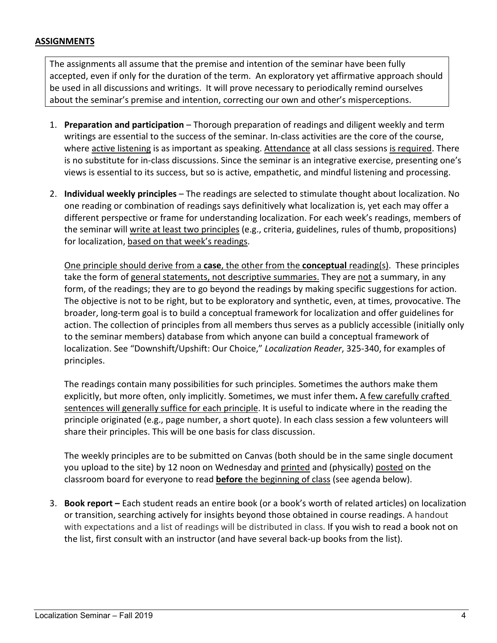#### **ASSIGNMENTS**

The assignments all assume that the premise and intention of the seminar have been fully accepted, even if only for the duration of the term. An exploratory yet affirmative approach should be used in all discussions and writings. It will prove necessary to periodically remind ourselves about the seminar's premise and intention, correcting our own and other's misperceptions.

- 1. **Preparation and participation** Thorough preparation of readings and diligent weekly and term writings are essential to the success of the seminar. In-class activities are the core of the course, where active listening is as important as speaking. Attendance at all class sessions is required. There is no substitute for in-class discussions. Since the seminar is an integrative exercise, presenting one's views is essential to its success, but so is active, empathetic, and mindful listening and processing.
- 2. **Individual weekly principles** The readings are selected to stimulate thought about localization. No one reading or combination of readings says definitively what localization is, yet each may offer a different perspective or frame for understanding localization. For each week's readings, members of the seminar will write at least two principles (e.g., criteria, guidelines, rules of thumb, propositions) for localization, based on that week's readings.

One principle should derive from a **case**, the other from the **conceptual** reading(s). These principles take the form of general statements, not descriptive summaries. They are not a summary, in any form, of the readings; they are to go beyond the readings by making specific suggestions for action. The objective is not to be right, but to be exploratory and synthetic, even, at times, provocative. The broader, long-term goal is to build a conceptual framework for localization and offer guidelines for action. The collection of principles from all members thus serves as a publicly accessible (initially only to the seminar members) database from which anyone can build a conceptual framework of localization. See "Downshift/Upshift: Our Choice," *Localization Reader*, 325-340, for examples of principles.

The readings contain many possibilities for such principles. Sometimes the authors make them explicitly, but more often, only implicitly. Sometimes, we must infer them**.** A few carefully crafted sentences will generally suffice for each principle. It is useful to indicate where in the reading the principle originated (e.g., page number, a short quote). In each class session a few volunteers will share their principles. This will be one basis for class discussion.

The weekly principles are to be submitted on Canvas (both should be in the same single document you upload to the site) by 12 noon on Wednesday and printed and (physically) posted on the classroom board for everyone to read **before** the beginning of class (see agenda below).

3. **Book report –** Each student reads an entire book (or a book's worth of related articles) on localization or transition, searching actively for insights beyond those obtained in course readings. A handout with expectations and a list of readings will be distributed in class. If you wish to read a book not on the list, first consult with an instructor (and have several back-up books from the list).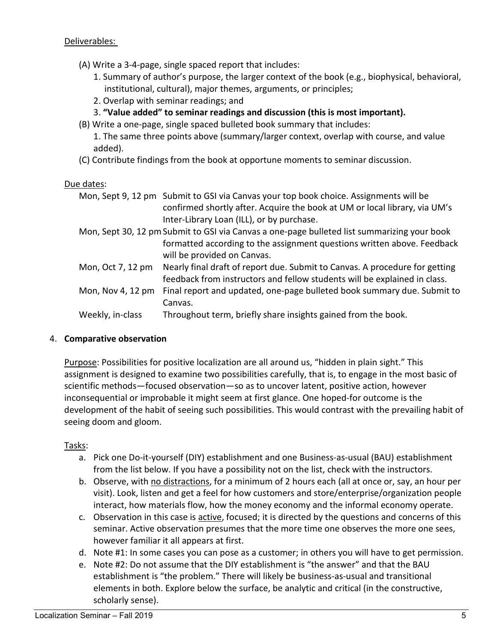- (A) Write a 3-4-page, single spaced report that includes:
	- 1. Summary of author's purpose, the larger context of the book (e.g., biophysical, behavioral, institutional, cultural), major themes, arguments, or principles;
	- 2. Overlap with seminar readings; and
	- 3. **"Value added" to seminar readings and discussion (this is most important).**
- (B) Write a one-page, single spaced bulleted book summary that includes:

1. The same three points above (summary/larger context, overlap with course, and value added).

(C) Contribute findings from the book at opportune moments to seminar discussion.

#### Due dates:

- Mon, Sept 9, 12 pm Submit to GSI via Canvas your top book choice. Assignments will be confirmed shortly after. Acquire the book at UM or local library, via UM's Inter-Library Loan (ILL), or by purchase. Mon, Sept 30, 12 pm Submit to GSI via Canvas a one-page bulleted list summarizing your book
- formatted according to the assignment questions written above. Feedback will be provided on Canvas.
- Mon, Oct 7, 12 pm Nearly final draft of report due. Submit to Canvas. A procedure for getting feedback from instructors and fellow students will be explained in class.
- Mon, Nov 4, 12 pm Final report and updated, one-page bulleted book summary due. Submit to Canvas.
- Weekly, in-class Throughout term, briefly share insights gained from the book.

# 4. **Comparative observation**

Purpose: Possibilities for positive localization are all around us, "hidden in plain sight." This assignment is designed to examine two possibilities carefully, that is, to engage in the most basic of scientific methods—focused observation—so as to uncover latent, positive action, however inconsequential or improbable it might seem at first glance. One hoped-for outcome is the development of the habit of seeing such possibilities. This would contrast with the prevailing habit of seeing doom and gloom.

# Tasks:

- a. Pick one Do-it-yourself (DIY) establishment and one Business-as-usual (BAU) establishment from the list below. If you have a possibility not on the list, check with the instructors.
- b. Observe, with no distractions, for a minimum of 2 hours each (all at once or, say, an hour per visit). Look, listen and get a feel for how customers and store/enterprise/organization people interact, how materials flow, how the money economy and the informal economy operate.
- c. Observation in this case is active, focused; it is directed by the questions and concerns of this seminar. Active observation presumes that the more time one observes the more one sees, however familiar it all appears at first.
- d. Note #1: In some cases you can pose as a customer; in others you will have to get permission.
- e. Note #2: Do not assume that the DIY establishment is "the answer" and that the BAU establishment is "the problem." There will likely be business-as-usual and transitional elements in both. Explore below the surface, be analytic and critical (in the constructive, scholarly sense).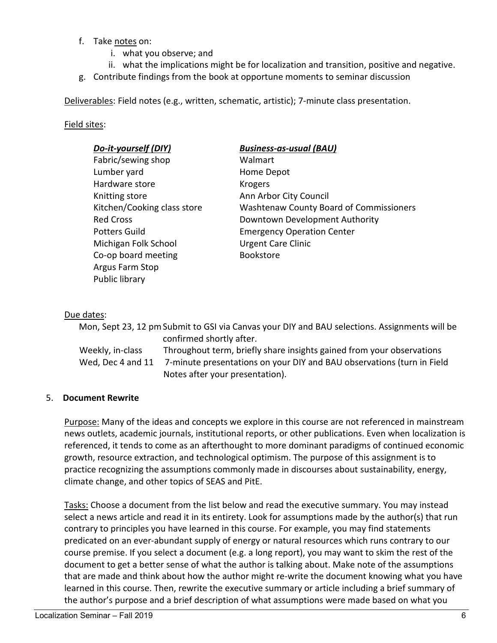- f. Take notes on:
	- i. what you observe; and
	- ii. what the implications might be for localization and transition, positive and negative.
- g. Contribute findings from the book at opportune moments to seminar discussion

Deliverables: Field notes (e.g., written, schematic, artistic); 7-minute class presentation.

#### Field sites:

| Do-it-yourself (DIY)        | <b>Business-as-usual (BAU)</b>                 |
|-----------------------------|------------------------------------------------|
| Fabric/sewing shop          | Walmart                                        |
| Lumber yard                 | Home Depot                                     |
| Hardware store              | <b>Krogers</b>                                 |
| Knitting store              | Ann Arbor City Council                         |
| Kitchen/Cooking class store | <b>Washtenaw County Board of Commissioners</b> |
| <b>Red Cross</b>            | Downtown Development Authority                 |
| <b>Potters Guild</b>        | <b>Emergency Operation Center</b>              |
| Michigan Folk School        | <b>Urgent Care Clinic</b>                      |
| Co-op board meeting         | <b>Bookstore</b>                               |
| Argus Farm Stop             |                                                |
| Public library              |                                                |

## Due dates:

|                   | Mon, Sept 23, 12 pm Submit to GSI via Canvas your DIY and BAU selections. Assignments will be |
|-------------------|-----------------------------------------------------------------------------------------------|
|                   | confirmed shortly after.                                                                      |
| Weekly, in-class  | Throughout term, briefly share insights gained from your observations                         |
| Wed, Dec 4 and 11 | 7-minute presentations on your DIY and BAU observations (turn in Field                        |
|                   | Notes after your presentation).                                                               |

#### 5. **Document Rewrite**

Purpose: Many of the ideas and concepts we explore in this course are not referenced in mainstream news outlets, academic journals, institutional reports, or other publications. Even when localization is referenced, it tends to come as an afterthought to more dominant paradigms of continued economic growth, resource extraction, and technological optimism. The purpose of this assignment is to practice recognizing the assumptions commonly made in discourses about sustainability, energy, climate change, and other topics of SEAS and PitE.

Tasks: Choose a document from the list below and read the executive summary. You may instead select a news article and read it in its entirety. Look for assumptions made by the author(s) that run contrary to principles you have learned in this course. For example, you may find statements predicated on an ever-abundant supply of energy or natural resources which runs contrary to our course premise. If you select a document (e.g. a long report), you may want to skim the rest of the document to get a better sense of what the author is talking about. Make note of the assumptions that are made and think about how the author might re-write the document knowing what you have learned in this course. Then, rewrite the executive summary or article including a brief summary of the author's purpose and a brief description of what assumptions were made based on what you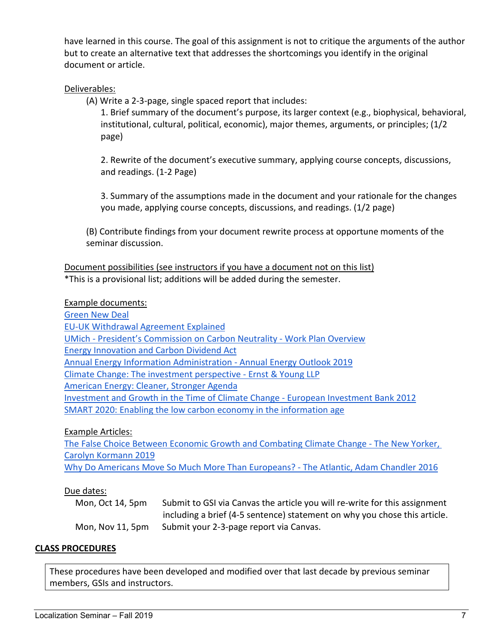have learned in this course. The goal of this assignment is not to critique the arguments of the author but to create an alternative text that addresses the shortcomings you identify in the original document or article.

## Deliverables:

(A) Write a 2-3-page, single spaced report that includes:

1. Brief summary of the document's purpose, its larger context (e.g., biophysical, behavioral, institutional, cultural, political, economic), major themes, arguments, or principles; (1/2 page)

2. Rewrite of the document's executive summary, applying course concepts, discussions, and readings. (1-2 Page)

3. Summary of the assumptions made in the document and your rationale for the changes you made, applying course concepts, discussions, and readings. (1/2 page)

(B) Contribute findings from your document rewrite process at opportune moments of the seminar discussion.

Document possibilities (see instructors if you have a document not on this list) \*This is a provisional list; additions will be added during the semester.

#### Example documents:

[Green New Deal](https://www.congress.gov/116/bills/hres109/BILLS-116hres109ih.pdf) [EU-UK Withdrawal Agreement Explained](https://ec.europa.eu/commission/sites/beta-political/files/the_withdrawal_agreement_explained.pdf) UMich - [President's Commission on Carbon Neutrality -](http://sustainability.umich.edu/media/files/PCCN-Work-Plan-Overview-050119.pdf) Work Plan Overview [Energy Innovation and Carbon Dividend Act](https://www.congress.gov/116/bills/hr763/BILLS-116hr763ih.pdf) [Annual Energy Information Administration -](https://www.eia.gov/outlooks/aeo/pdf/aeo2019.pdf) Annual Energy Outlook 2019 [Climate Change: The investment perspective -](https://www.ey.com/Publication/vwLUAssets/EY-climate-change-and-investment/$FILE/EY-climate-change-and-investment.pdf) Ernst & Young LLP [American Energy: Cleaner, Stronger Agenda](https://www.globalenergyinstitute.org/global-energy-institute-unveils-american-energy-cleaner-stronger-agenda) [Investment and Growth in the Time of Climate Change -](https://www.eib.org/attachments/thematic/investment_and_growth_in_the_time_of_climate_change_en.pdf) European Investment Bank 2012 [SMART 2020: Enabling the low carbon economy in the information age](https://www.theclimategroup.org/sites/default/files/archive/files/Smart2020Report.pdf)

Example Articles:

[The False Choice Between Economic Growth and Combating Climate Change -](https://www.newyorker.com/news/news-desk/the-false-choice-between-economic-growth-and-combatting-climate-change) The New Yorker, [Carolyn Kormann 2019](https://www.newyorker.com/news/news-desk/the-false-choice-between-economic-growth-and-combatting-climate-change) [Why Do Americans Move So Much More Than Europeans? -](https://www.theatlantic.com/business/archive/2016/10/us-geographic-mobility/504968/) The Atlantic, Adam Chandler 2016

#### Due dates:

Mon, Oct 14, 5pm Submit to GSI via Canvas the article you will re-write for this assignment including a brief (4-5 sentence) statement on why you chose this article. Mon, Nov 11, 5pm Submit your 2-3-page report via Canvas.

#### **CLASS PROCEDURES**

These procedures have been developed and modified over that last decade by previous seminar members, GSIs and instructors.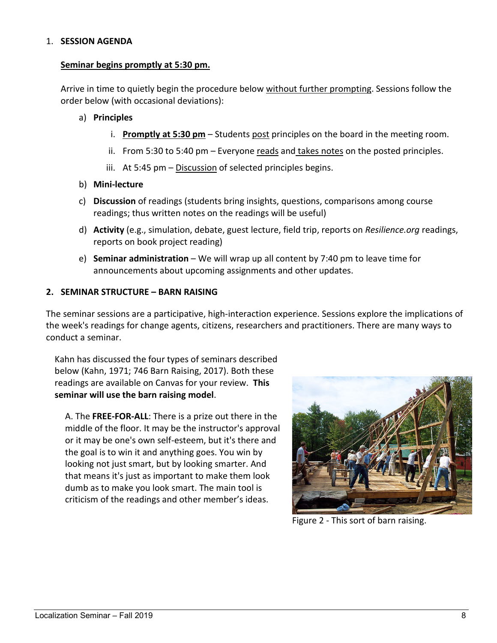#### 1. **SESSION AGENDA**

#### **Seminar begins promptly at 5:30 pm.**

Arrive in time to quietly begin the procedure below without further prompting. Sessions follow the order below (with occasional deviations):

#### a) **Principles**

- i. **Promptly at 5:30 pm** Students post principles on the board in the meeting room.
- ii. From 5:30 to 5:40 pm  $-$  Everyone reads and takes notes on the posted principles.
- iii. At 5:45  $pm -$  Discussion of selected principles begins.
- b) **Mini-lecture**
- c) **Discussion** of readings (students bring insights, questions, comparisons among course readings; thus written notes on the readings will be useful)
- d) **Activity** (e.g., simulation, debate, guest lecture, field trip, reports on *Resilience.org* readings, reports on book project reading)
- e) **Seminar administration** We will wrap up all content by 7:40 pm to leave time for announcements about upcoming assignments and other updates.

#### **2. SEMINAR STRUCTURE – BARN RAISING**

The seminar sessions are a participative, high-interaction experience. Sessions explore the implications of the week's readings for change agents, citizens, researchers and practitioners. There are many ways to conduct a seminar.

Kahn has discussed the four types of seminars described below (Kahn, 1971; 746 Barn Raising, 2017). Both these readings are available on Canvas for your review. **This seminar will use the barn raising model**.

A. The **FREE-FOR-ALL**: There is a prize out there in the middle of the floor. It may be the instructor's approval or it may be one's own self-esteem, but it's there and the goal is to win it and anything goes. You win by looking not just smart, but by looking smarter. And that means it's just as important to make them look dumb as to make you look smart. The main tool is criticism of the readings and other member's ideas.



Figure 2 - This sort of barn raising.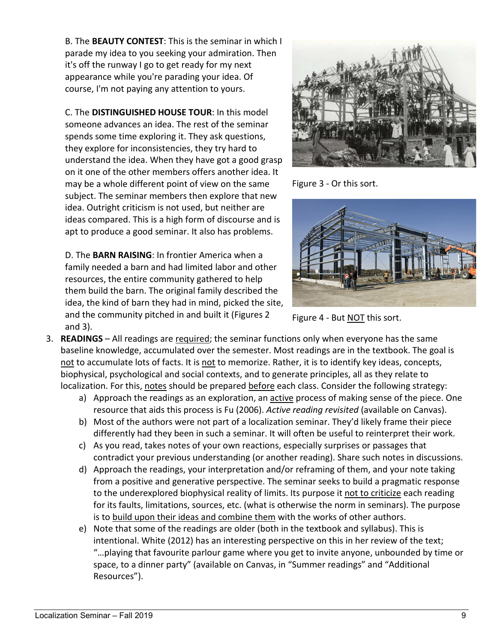B. The **BEAUTY CONTEST**: This is the seminar in which I parade my idea to you seeking your admiration. Then it's off the runway I go to get ready for my next appearance while you're parading your idea. Of course, I'm not paying any attention to yours.

C. The **DISTINGUISHED HOUSE TOUR**: In this model someone advances an idea. The rest of the seminar spends some time exploring it. They ask questions, they explore for inconsistencies, they try hard to understand the idea. When they have got a good grasp on it one of the other members offers another idea. It may be a whole different point of view on the same subject. The seminar members then explore that new idea. Outright criticism is not used, but neither are ideas compared. This is a high form of discourse and is apt to produce a good seminar. It also has problems.

D. The **BARN RAISING**: In frontier America when a family needed a barn and had limited labor and other resources, the entire community gathered to help them build the barn. The original family described the idea, the kind of barn they had in mind, picked the site, and the community pitched in and built it (Figures 2 and 3).



Figure 3 - Or this sort.



Figure 4 - But NOT this sort.

- 3. **READINGS**  All readings are required; the seminar functions only when everyone has the same baseline knowledge, accumulated over the semester. Most readings are in the textbook. The goal is not to accumulate lots of facts. It is not to memorize. Rather, it is to identify key ideas, concepts, biophysical, psychological and social contexts, and to generate principles, all as they relate to localization. For this, notes should be prepared before each class. Consider the following strategy:
	- a) Approach the readings as an exploration, an active process of making sense of the piece. One resource that aids this process is Fu (2006). *Active reading revisited* (available on Canvas).
	- b) Most of the authors were not part of a localization seminar. They'd likely frame their piece differently had they been in such a seminar. It will often be useful to reinterpret their work.
	- c) As you read, takes notes of your own reactions, especially surprises or passages that contradict your previous understanding (or another reading). Share such notes in discussions.
	- d) Approach the readings, your interpretation and/or reframing of them, and your note taking from a positive and generative perspective. The seminar seeks to build a pragmatic response to the underexplored biophysical reality of limits. Its purpose it not to criticize each reading for its faults, limitations, sources, etc. (what is otherwise the norm in seminars). The purpose is to build upon their ideas and combine them with the works of other authors.
	- e) Note that some of the readings are older (both in the textbook and syllabus). This is intentional. White (2012) has an interesting perspective on this in her review of the text; "…playing that favourite parlour game where you get to invite anyone, unbounded by time or space, to a dinner party" (available on Canvas, in "Summer readings" and "Additional Resources").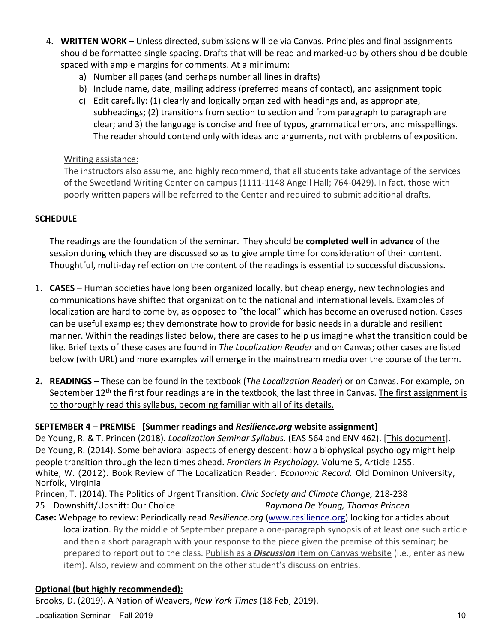- 4. **WRITTEN WORK**  Unless directed, submissions will be via Canvas. Principles and final assignments should be formatted single spacing. Drafts that will be read and marked-up by others should be double spaced with ample margins for comments. At a minimum:
	- a) Number all pages (and perhaps number all lines in drafts)
	- b) Include name, date, mailing address (preferred means of contact), and assignment topic
	- c) Edit carefully: (1) clearly and logically organized with headings and, as appropriate, subheadings; (2) transitions from section to section and from paragraph to paragraph are clear; and 3) the language is concise and free of typos, grammatical errors, and misspellings. The reader should contend only with ideas and arguments, not with problems of exposition.

# Writing assistance:

The instructors also assume, and highly recommend, that all students take advantage of the services of the Sweetland Writing Center on campus (1111-1148 Angell Hall; 764-0429). In fact, those with poorly written papers will be referred to the Center and required to submit additional drafts.

# **SCHEDULE**

The readings are the foundation of the seminar. They should be **completed well in advance** of the session during which they are discussed so as to give ample time for consideration of their content. Thoughtful, multi-day reflection on the content of the readings is essential to successful discussions.

- 1. **CASES** Human societies have long been organized locally, but cheap energy, new technologies and communications have shifted that organization to the national and international levels. Examples of localization are hard to come by, as opposed to "the local" which has become an overused notion. Cases can be useful examples; they demonstrate how to provide for basic needs in a durable and resilient manner. Within the readings listed below, there are cases to help us imagine what the transition could be like. Brief texts of these cases are found in *The Localization Reader* and on Canvas; other cases are listed below (with URL) and more examples will emerge in the mainstream media over the course of the term.
- **2. READINGS** These can be found in the textbook (*The Localization Reader*) or on Canvas. For example, on September 12<sup>th</sup> the first four readings are in the textbook, the last three in Canvas. The first assignment is to thoroughly read this syllabus, becoming familiar with all of its details.

# **SEPTEMBER 4 – PREMISE [Summer readings and** *Resilience.org* **website assignment]**

De Young, R. & T. Princen (2018). *Localization Seminar Syllabus.* (EAS 564 and ENV 462). [This document]. De Young, R. (2014). Some behavioral aspects of energy descent: how a biophysical psychology might help people transition through the lean times ahead. *Frontiers in Psychology.* Volume 5, Article 1255. White, W. (2012). Book Review of The Localization Reader. *Economic Record.* Old Dominon University, Norfolk, Virginia

- Princen, T. (2014). The Politics of Urgent Transition. *Civic Society and Climate Change,* 218-238
- 25 Downshift/Upshift: Our Choice *Raymond De Young, Thomas Princen*
- **Case:** Webpage to review: Periodically read *Resilience.org* [\(www.resilience.org\)](http://www.resilience.org/) looking for articles about localization. By the middle of September prepare a one-paragraph synopsis of at least one such article and then a short paragraph with your response to the piece given the premise of this seminar; be prepared to report out to the class. Publish as a *Discussion* item on Canvas website (i.e., enter as new item). Also, review and comment on the other student's discussion entries.

# **Optional (but highly recommended):**

Brooks, D. (2019). A Nation of Weavers, *New York Times* (18 Feb, 2019).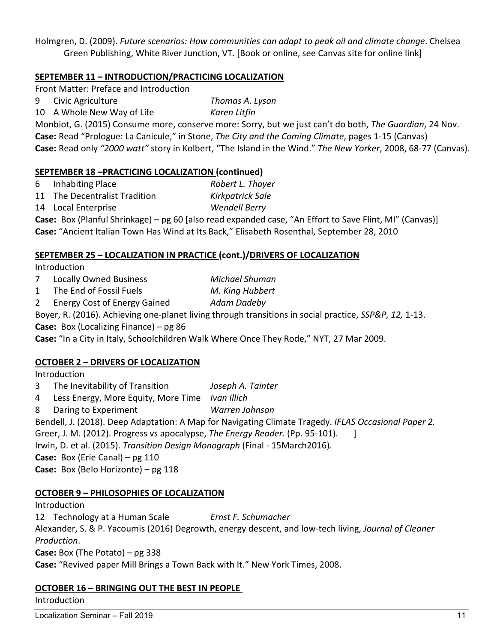Holmgren, D. (2009). *Future scenarios: How communities can adapt to peak oil and climate change*. Chelsea Green Publishing, White River Junction, VT. [Book or online, see Canvas site for online link]

# **SEPTEMBER 11 – INTRODUCTION/PRACTICING LOCALIZATION**

Front Matter: Preface and Introduction

- 9 Civic Agriculture *Thomas A. Lyson*
- 10 A Whole New Way of Life *Karen Litfin*

Monbiot, G. (2015) Consume more, conserve more: Sorry, but we just can't do both, *The Guardian*, 24 Nov. **Case:** Read "Prologue: La Canicule," in Stone, *The City and the Coming Climate*, pages 1-15 (Canvas) **Case:** Read only *"2000 watt"* story in Kolbert, "The Island in the Wind." *The New Yorker*, 2008, 68-77 (Canvas).

# **SEPTEMBER 18 –PRACTICING LOCALIZATION (continued)**

- 6 Inhabiting Place *Robert L. Thayer* 11 The Decentralist Tradition *Kirkpatrick Sale*
- 14 Local Enterprise *Wendell Berry*

**Case:** Box (Planful Shrinkage) – pg 60 [also read expanded case, "An Effort to Save Flint, MI" (Canvas)] **Case:** "Ancient Italian Town Has Wind at Its Back," Elisabeth Rosenthal, September 28, 2010

# **SEPTEMBER 25 – LOCALIZATION IN PRACTICE (cont.)/DRIVERS OF LOCALIZATION**

Introduction

- 7 Locally Owned Business *Michael Shuman*
- 1 The End of Fossil Fuels *M. King Hubbert*
- 2 Energy Cost of Energy Gained *Adam Dadeby*

Boyer, R. (2016). Achieving one-planet living through transitions in social practice, *SSP&P, 12,* 1-13.

**Case:** Box (Localizing Finance) – pg 86

**Case:** "In a City in Italy, Schoolchildren Walk Where Once They Rode," NYT, 27 Mar 2009.

# **OCTOBER 2 – DRIVERS OF LOCALIZATION**

Introduction

- 3 The Inevitability of Transition *Joseph A. Tainter*
- 4 Less Energy, More Equity, More Time *Ivan Illich*
- 8 Daring to Experiment *Warren Johnson*

Bendell, J. (2018). Deep Adaptation: A Map for Navigating Climate Tragedy. *IFLAS Occasional Paper 2.*

Greer, J. M. (2012). Progress vs apocalypse, *The Energy Reader*. (Pp. 95-101). [

Irwin, D. et al. (2015). *Transition Design Monograph* (Final - 15March2016).

**Case:** Box (Erie Canal) – pg 110

**Case:** Box (Belo Horizonte) – pg 118

# **OCTOBER 9 – PHILOSOPHIES OF LOCALIZATION**

Introduction

12 Technology at a Human Scale *Ernst F. Schumacher*

Alexander, S. & P. Yacoumis (2016) Degrowth, energy descent, and low-tech living, *Journal of Cleaner Production*.

**Case:** Box (The Potato) – pg 338 **Case:** "Revived paper Mill Brings a Town Back with It." New York Times, 2008.

# **OCTOBER 16 – BRINGING OUT THE BEST IN PEOPLE**

**Introduction**